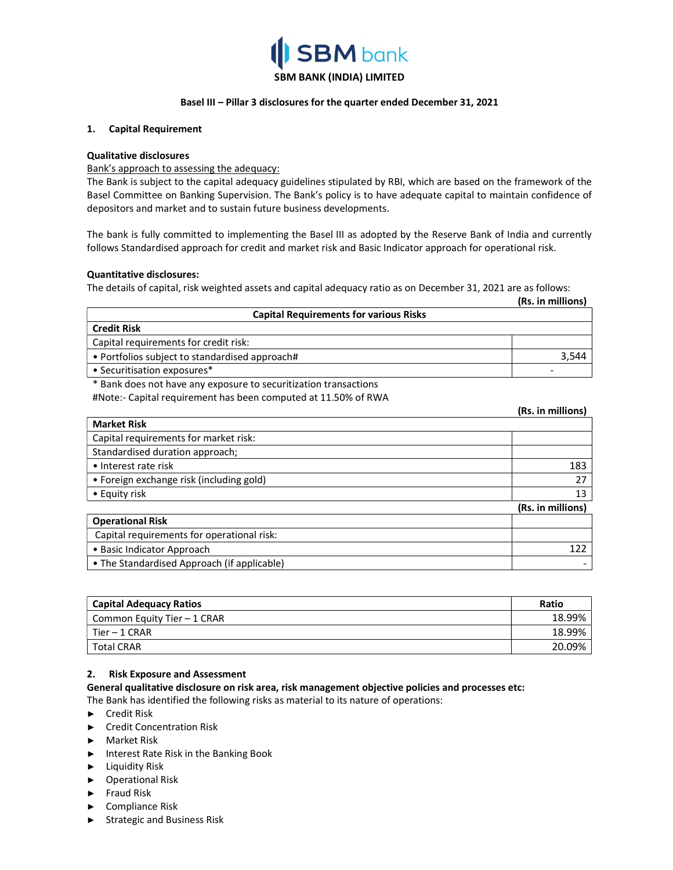

# SBM BANK (INDIA) LIMITED

#### Basel III – Pillar 3 disclosures for the quarter ended December 31, 2021

#### 1. Capital Requirement

#### Qualitative disclosures

#### Bank's approach to assessing the adequacy:

The Bank is subject to the capital adequacy guidelines stipulated by RBI, which are based on the framework of the Basel Committee on Banking Supervision. The Bank's policy is to have adequate capital to maintain confidence of depositors and market and to sustain future business developments.

The bank is fully committed to implementing the Basel III as adopted by the Reserve Bank of India and currently follows Standardised approach for credit and market risk and Basic Indicator approach for operational risk.

#### Quantitative disclosures:

The details of capital, risk weighted assets and capital adequacy ratio as on December 31, 2021 are as follows:

|                                                | (Rs. in millions) |
|------------------------------------------------|-------------------|
| <b>Capital Requirements for various Risks</b>  |                   |
| <b>Credit Risk</b>                             |                   |
| Capital requirements for credit risk:          |                   |
| • Portfolios subject to standardised approach# | 3,544             |
| • Securitisation exposures*                    |                   |

(Rs. in millions)

\* Bank does not have any exposure to securitization transactions

#Note:- Capital requirement has been computed at 11.50% of RWA

|                                                                              | 113. 111 11111110113 <i>1</i> |
|------------------------------------------------------------------------------|-------------------------------|
| <b>Market Risk</b>                                                           |                               |
| Capital requirements for market risk:                                        |                               |
| Standardised duration approach;                                              |                               |
| • Interest rate risk                                                         | 183                           |
| • Foreign exchange risk (including gold)                                     | 27                            |
| • Equity risk                                                                | 13                            |
|                                                                              | (Rs. in millions)             |
| <b>Operational Risk</b>                                                      |                               |
| Capital requirements for operational risk:                                   |                               |
| • Basic Indicator Approach                                                   | 122                           |
| $\tau$ $\sim$ $\tau$ $\sim$ $\tau$ $\sim$ $\tau$ $\sim$ $\tau$ $\sim$ $\tau$ |                               |

• The Standardised Approach (if applicable) -

| <b>Capital Adequacy Ratios</b> | Ratio  |
|--------------------------------|--------|
| Common Equity Tier - 1 CRAR    | 18.99% |
| Tier – 1 CRAR                  | 18.99% |
| l Total CRAR                   | 20.09% |

#### 2. Risk Exposure and Assessment

General qualitative disclosure on risk area, risk management objective policies and processes etc:

The Bank has identified the following risks as material to its nature of operations:

- ► Credit Risk
- ► Credit Concentration Risk
- ► Market Risk
- ► Interest Rate Risk in the Banking Book
- ► Liquidity Risk
- ► Operational Risk
- ► Fraud Risk
- ► Compliance Risk
- ► Strategic and Business Risk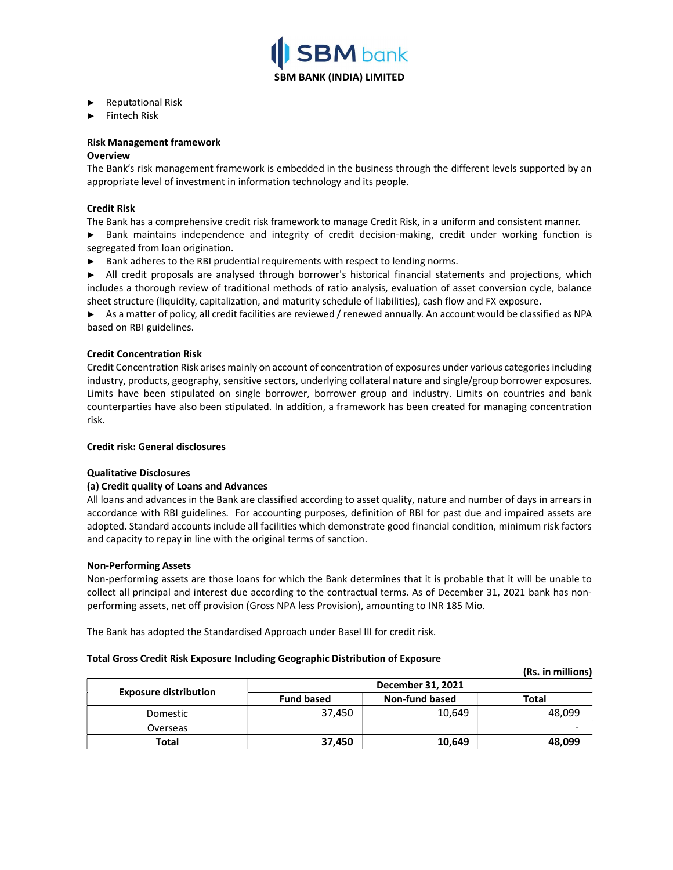

- ► Reputational Risk
- ► Fintech Risk

# Risk Management framework

### **Overview**

The Bank's risk management framework is embedded in the business through the different levels supported by an appropriate level of investment in information technology and its people.

# Credit Risk

The Bank has a comprehensive credit risk framework to manage Credit Risk, in a uniform and consistent manner.

► Bank maintains independence and integrity of credit decision-making, credit under working function is segregated from loan origination.

► Bank adheres to the RBI prudential requirements with respect to lending norms.

► All credit proposals are analysed through borrower's historical financial statements and projections, which includes a thorough review of traditional methods of ratio analysis, evaluation of asset conversion cycle, balance sheet structure (liquidity, capitalization, and maturity schedule of liabilities), cash flow and FX exposure.

► As a matter of policy, all credit facilities are reviewed / renewed annually. An account would be classified as NPA based on RBI guidelines.

# Credit Concentration Risk

Credit Concentration Risk arises mainly on account of concentration of exposures under various categories including industry, products, geography, sensitive sectors, underlying collateral nature and single/group borrower exposures. Limits have been stipulated on single borrower, borrower group and industry. Limits on countries and bank counterparties have also been stipulated. In addition, a framework has been created for managing concentration risk.

#### Credit risk: General disclosures

# Qualitative Disclosures

# (a) Credit quality of Loans and Advances

All loans and advances in the Bank are classified according to asset quality, nature and number of days in arrears in accordance with RBI guidelines. For accounting purposes, definition of RBI for past due and impaired assets are adopted. Standard accounts include all facilities which demonstrate good financial condition, minimum risk factors and capacity to repay in line with the original terms of sanction.

#### Non-Performing Assets

Non-performing assets are those loans for which the Bank determines that it is probable that it will be unable to collect all principal and interest due according to the contractual terms. As of December 31, 2021 bank has nonperforming assets, net off provision (Gross NPA less Provision), amounting to INR 185 Mio.

The Bank has adopted the Standardised Approach under Basel III for credit risk.

#### Total Gross Credit Risk Exposure Including Geographic Distribution of Exposure

|                              |                   |                       | (Rs. in millions) |
|------------------------------|-------------------|-----------------------|-------------------|
|                              | December 31, 2021 |                       |                   |
| <b>Exposure distribution</b> | <b>Fund based</b> | <b>Non-fund based</b> | Total             |
| Domestic                     | 37.450            | 10,649                | 48.099            |
| Overseas                     |                   |                       |                   |
| Total                        | 37,450            | 10,649                | 48,099            |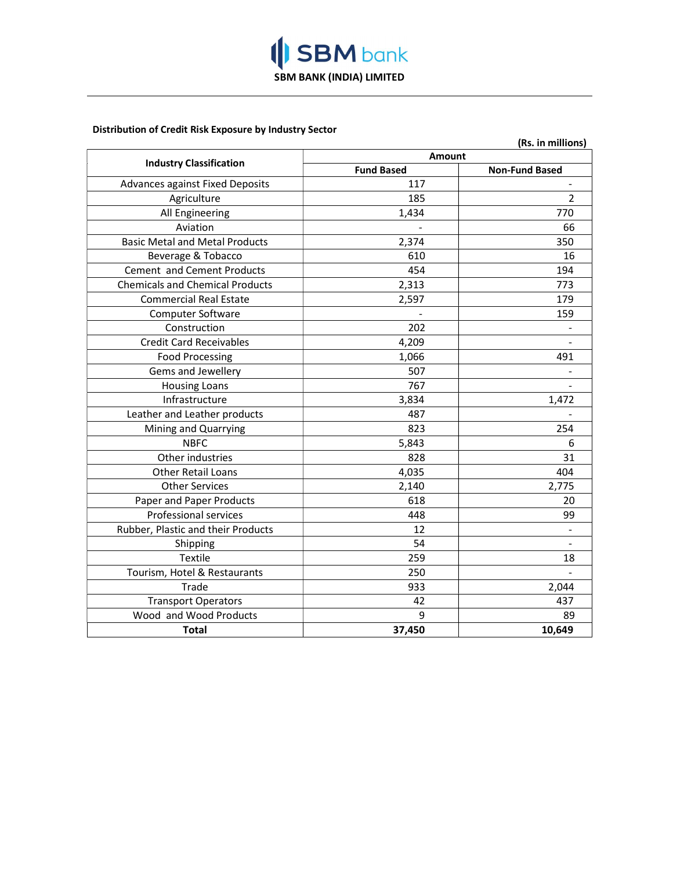

# Distribution of Credit Risk Exposure by Industry Sector

|                                        |                   | (Rs. in millions)     |  |
|----------------------------------------|-------------------|-----------------------|--|
|                                        | <b>Amount</b>     |                       |  |
| <b>Industry Classification</b>         | <b>Fund Based</b> | <b>Non-Fund Based</b> |  |
| Advances against Fixed Deposits        | 117               |                       |  |
| Agriculture                            | 185               | $\overline{2}$        |  |
| All Engineering                        | 1,434             | 770                   |  |
| Aviation                               |                   | 66                    |  |
| <b>Basic Metal and Metal Products</b>  | 2,374             | 350                   |  |
| Beverage & Tobacco                     | 610               | 16                    |  |
| Cement and Cement Products             | 454               | 194                   |  |
| <b>Chemicals and Chemical Products</b> | 2,313             | 773                   |  |
| <b>Commercial Real Estate</b>          | 2,597             | 179                   |  |
| Computer Software                      |                   | 159                   |  |
| Construction                           | 202               |                       |  |
| <b>Credit Card Receivables</b>         | 4,209             |                       |  |
| <b>Food Processing</b>                 | 1,066             | 491                   |  |
| Gems and Jewellery                     | 507               |                       |  |
| <b>Housing Loans</b>                   | 767               |                       |  |
| Infrastructure                         | 3,834             | 1,472                 |  |
| Leather and Leather products           | 487               |                       |  |
| Mining and Quarrying                   | 823               | 254                   |  |
| <b>NBFC</b>                            | 5,843             | 6                     |  |
| Other industries                       | 828               | 31                    |  |
| <b>Other Retail Loans</b>              | 4,035             | 404                   |  |
| <b>Other Services</b>                  | 2,140             | 2,775                 |  |
| Paper and Paper Products               | 618               | 20                    |  |
| <b>Professional services</b>           | 448               | 99                    |  |
| Rubber, Plastic and their Products     | 12                |                       |  |
| Shipping                               | 54                |                       |  |
| <b>Textile</b>                         | 259               | 18                    |  |
| Tourism, Hotel & Restaurants           | 250               |                       |  |
| Trade                                  | 933               | 2,044                 |  |
| <b>Transport Operators</b>             | 42                | 437                   |  |
| Wood and Wood Products                 | 9                 | 89                    |  |
| Total                                  | 37,450            | 10,649                |  |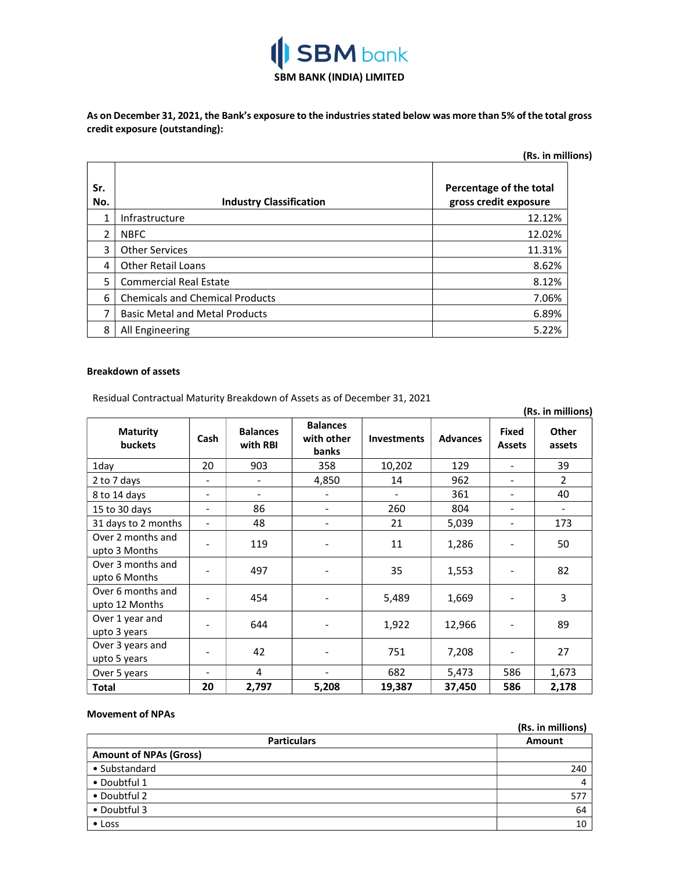

As on December 31, 2021, the Bank's exposure to the industries stated below was more than 5% of the total gross credit exposure (outstanding):

| (Rs. in millions) |                                        |                                                  |  |
|-------------------|----------------------------------------|--------------------------------------------------|--|
| Sr.<br>No.        | <b>Industry Classification</b>         | Percentage of the total<br>gross credit exposure |  |
| 1                 | Infrastructure                         | 12.12%                                           |  |
| 2                 | <b>NBFC</b>                            | 12.02%                                           |  |
| 3                 | <b>Other Services</b>                  | 11.31%                                           |  |
| 4                 | <b>Other Retail Loans</b>              | 8.62%                                            |  |
| 5                 | <b>Commercial Real Estate</b>          | 8.12%                                            |  |
| 6                 | <b>Chemicals and Chemical Products</b> | 7.06%                                            |  |
|                   | <b>Basic Metal and Metal Products</b>  | 6.89%                                            |  |
| 8                 | All Engineering                        | 5.22%                                            |  |

# Breakdown of assets

Residual Contractual Maturity Breakdown of Assets as of December 31, 2021

|                                     |      |                             |                                        |                    |                 |                               | (Rs. in millions)        |
|-------------------------------------|------|-----------------------------|----------------------------------------|--------------------|-----------------|-------------------------------|--------------------------|
| <b>Maturity</b><br><b>buckets</b>   | Cash | <b>Balances</b><br>with RBI | <b>Balances</b><br>with other<br>banks | <b>Investments</b> | <b>Advances</b> | <b>Fixed</b><br><b>Assets</b> | <b>Other</b><br>assets   |
| 1day                                | 20   | 903                         | 358                                    | 10,202             | 129             |                               | 39                       |
| 2 to 7 days                         |      |                             | 4,850                                  | 14                 | 962             |                               | $\overline{2}$           |
| 8 to 14 days                        |      |                             |                                        |                    | 361             |                               | 40                       |
| 15 to 30 days                       |      | 86                          | $\blacksquare$                         | 260                | 804             |                               | $\overline{\phantom{a}}$ |
| 31 days to 2 months                 |      | 48                          | $\overline{\phantom{a}}$               | 21                 | 5,039           | $\overline{\phantom{a}}$      | 173                      |
| Over 2 months and<br>upto 3 Months  |      | 119                         |                                        | 11                 | 1,286           |                               | 50                       |
| Over 3 months and<br>upto 6 Months  |      | 497                         |                                        | 35                 | 1,553           |                               | 82                       |
| Over 6 months and<br>upto 12 Months |      | 454                         |                                        | 5,489              | 1,669           |                               | 3                        |
| Over 1 year and<br>upto 3 years     |      | 644                         |                                        | 1,922              | 12,966          |                               | 89                       |
| Over 3 years and<br>upto 5 years    |      | 42                          |                                        | 751                | 7,208           |                               | 27                       |
| Over 5 years                        |      | 4                           |                                        | 682                | 5,473           | 586                           | 1,673                    |
| <b>Total</b>                        | 20   | 2,797                       | 5,208                                  | 19,387             | 37,450          | 586                           | 2,178                    |

# Movement of NPAs

|                               | (Rs. in millions) |
|-------------------------------|-------------------|
| <b>Particulars</b>            | Amount            |
| <b>Amount of NPAs (Gross)</b> |                   |
| • Substandard                 | 240               |
| • Doubtful 1                  | 4                 |
| • Doubtful 2                  | 577               |
| • Doubtful 3                  | 64                |
| $\bullet$ Loss                | 10                |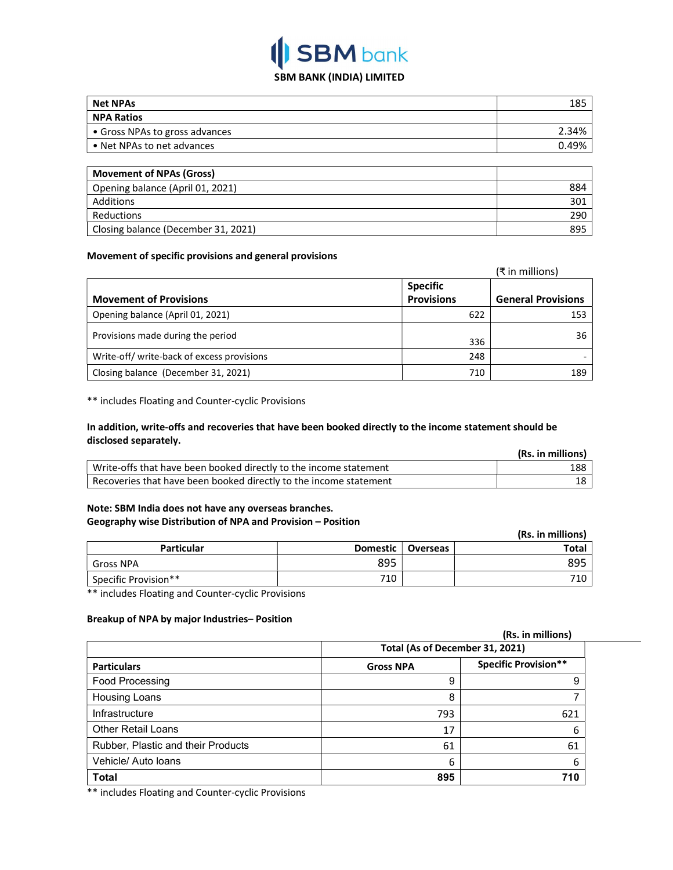# **SBM** bank SBM BANK (INDIA) LIMITED

| <b>Net NPAs</b>                     | 185   |
|-------------------------------------|-------|
| <b>NPA Ratios</b>                   |       |
| • Gross NPAs to gross advances      | 2.34% |
| • Net NPAs to net advances          | 0.49% |
|                                     |       |
| <b>Movement of NPAs (Gross)</b>     |       |
| Opening balance (April 01, 2021)    | 884   |
| <b>Additions</b>                    | 301   |
| Reductions                          | 290   |
| Closing balance (December 31, 2021) | 895   |

# Movement of specific provisions and general provisions

|                                           |                   | (₹ in millions)           |
|-------------------------------------------|-------------------|---------------------------|
|                                           | <b>Specific</b>   |                           |
| <b>Movement of Provisions</b>             | <b>Provisions</b> | <b>General Provisions</b> |
| Opening balance (April 01, 2021)          | 622               | 153                       |
| Provisions made during the period         | 336               | 36                        |
| Write-off/write-back of excess provisions | 248               |                           |
| Closing balance (December 31, 2021)       | 710               | 189                       |

\*\* includes Floating and Counter-cyclic Provisions

# In addition, write-offs and recoveries that have been booked directly to the income statement should be disclosed separately.

|                                                                   | (Rs. in millions) |
|-------------------------------------------------------------------|-------------------|
| Write-offs that have been booked directly to the income statement | 188               |
| Recoveries that have been booked directly to the income statement | 18                |

# Note: SBM India does not have any overseas branches. Geography wise Distribution of NPA and Provision – Position

|                      |          |          | (Rs. in millions) |
|----------------------|----------|----------|-------------------|
| <b>Particular</b>    | Domestic | Overseas | Total             |
| Gross NPA            | 895      |          | 895               |
| Specific Provision** | 710      |          | 710.              |

\*\* includes Floating and Counter-cyclic Provisions

# Breakup of NPA by major Industries– Position

|                                    | (Rs. in millions)               |                             |  |
|------------------------------------|---------------------------------|-----------------------------|--|
|                                    | Total (As of December 31, 2021) |                             |  |
| <b>Particulars</b>                 | <b>Gross NPA</b>                | <b>Specific Provision**</b> |  |
| Food Processing                    | 9                               | 9                           |  |
| <b>Housing Loans</b>               | 8                               |                             |  |
| Infrastructure                     | 793                             | 621                         |  |
| <b>Other Retail Loans</b>          | 17                              | 6                           |  |
| Rubber, Plastic and their Products | 61                              | 61                          |  |
| Vehicle/ Auto loans                | 6                               | 6                           |  |
| <b>Total</b>                       | 895                             | 710                         |  |

\*\* includes Floating and Counter-cyclic Provisions